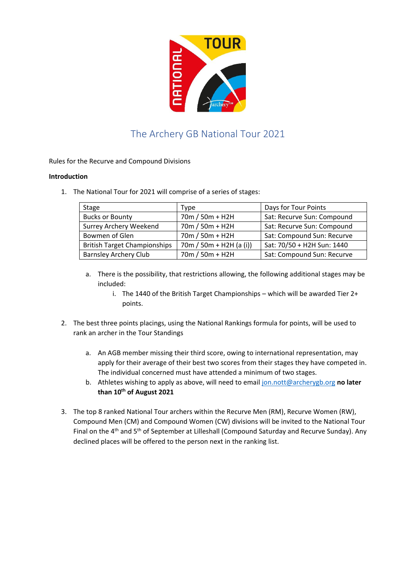

## The Archery GB National Tour 2021

Rules for the Recurve and Compound Divisions

## **Introduction**

1. The National Tour for 2021 will comprise of a series of stages:

| Stage                               | Type                      | Days for Tour Points       |
|-------------------------------------|---------------------------|----------------------------|
| <b>Bucks or Bounty</b>              | 70m / 50m + H2H           | Sat: Recurve Sun: Compound |
| Surrey Archery Weekend              | 70m / 50m + H2H           | Sat: Recurve Sun: Compound |
| Bowmen of Glen                      | 70m / 50m + H2H           | Sat: Compound Sun: Recurve |
| <b>British Target Championships</b> | $70m / 50m + H2H (a (i))$ | Sat: 70/50 + H2H Sun: 1440 |
| <b>Barnsley Archery Club</b>        | 70m / 50m + H2H           | Sat: Compound Sun: Recurve |
|                                     |                           |                            |

- a. There is the possibility, that restrictions allowing, the following additional stages may be included:
	- i. The 1440 of the British Target Championships which will be awarded Tier 2+ points.
- 2. The best three points placings, using the National Rankings formula for points, will be used to rank an archer in the Tour Standings
	- a. An AGB member missing their third score, owing to international representation, may apply for their average of their best two scores from their stages they have competed in. The individual concerned must have attended a minimum of two stages.
	- b. Athletes wishing to apply as above, will need to email jon.nott@archerygb.org **no later than 10th of August 2021**
- 3. The top 8 ranked National Tour archers within the Recurve Men (RM), Recurve Women (RW), Compound Men (CM) and Compound Women (CW) divisions will be invited to the National Tour Final on the 4<sup>th</sup> and 5<sup>th</sup> of September at Lilleshall (Compound Saturday and Recurve Sunday). Any declined places will be offered to the person next in the ranking list.